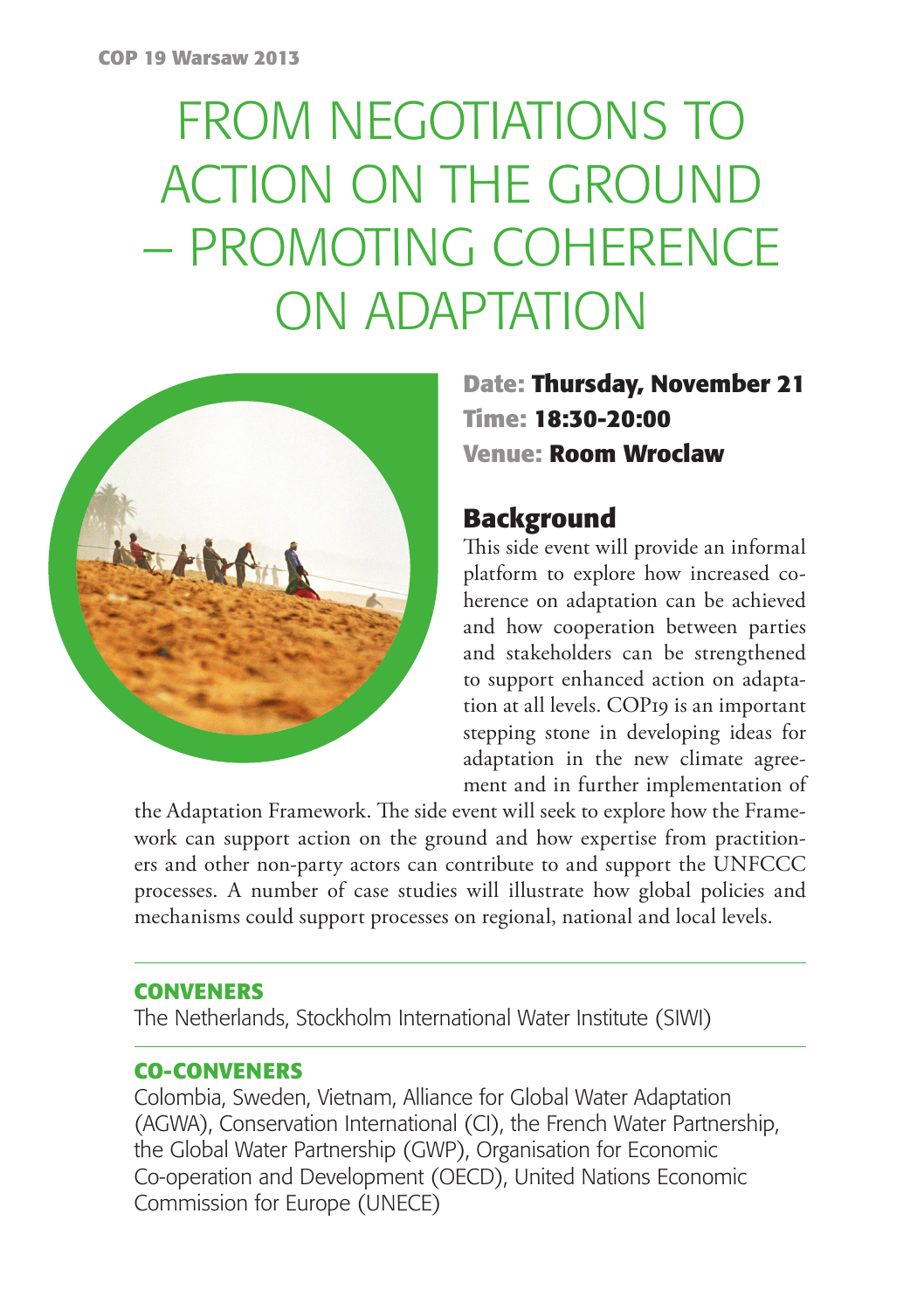# FROM NEGOTIATIONS TO ACTION ON THE GROUND – PROMOTING COHERENCE ON ADAPTATION



**Date: Thursday, November 21 Time: 18:30-20:00 Venue: Room Wroclaw**

### **Background**

This side event will provide an informal platform to explore how increased coherence on adaptation can be achieved and how cooperation between parties and stakeholders can be strengthened to support enhanced action on adaptation at all levels. COP19 is an important stepping stone in developing ideas for adaptation in the new climate agreement and in further implementation of

the Adaptation Framework. The side event will seek to explore how the Framework can support action on the ground and how expertise from practitioners and other non-party actors can contribute to and support the UNFCCC processes. A number of case studies will illustrate how global policies and mechanisms could support processes on regional, national and local levels.

### **CONVENERS**

The Netherlands, Stockholm International Water Institute (SIWI)

### **CO-CONVENERS**

Colombia, Sweden, Vietnam, Alliance for Global Water Adaptation (AGWA), Conservation International (CI), the French Water Partnership, the Global Water Partnership (GWP), Organisation for Economic Co-operation and Development (OECD), United Nations Economic Commission for Europe (UNECE)